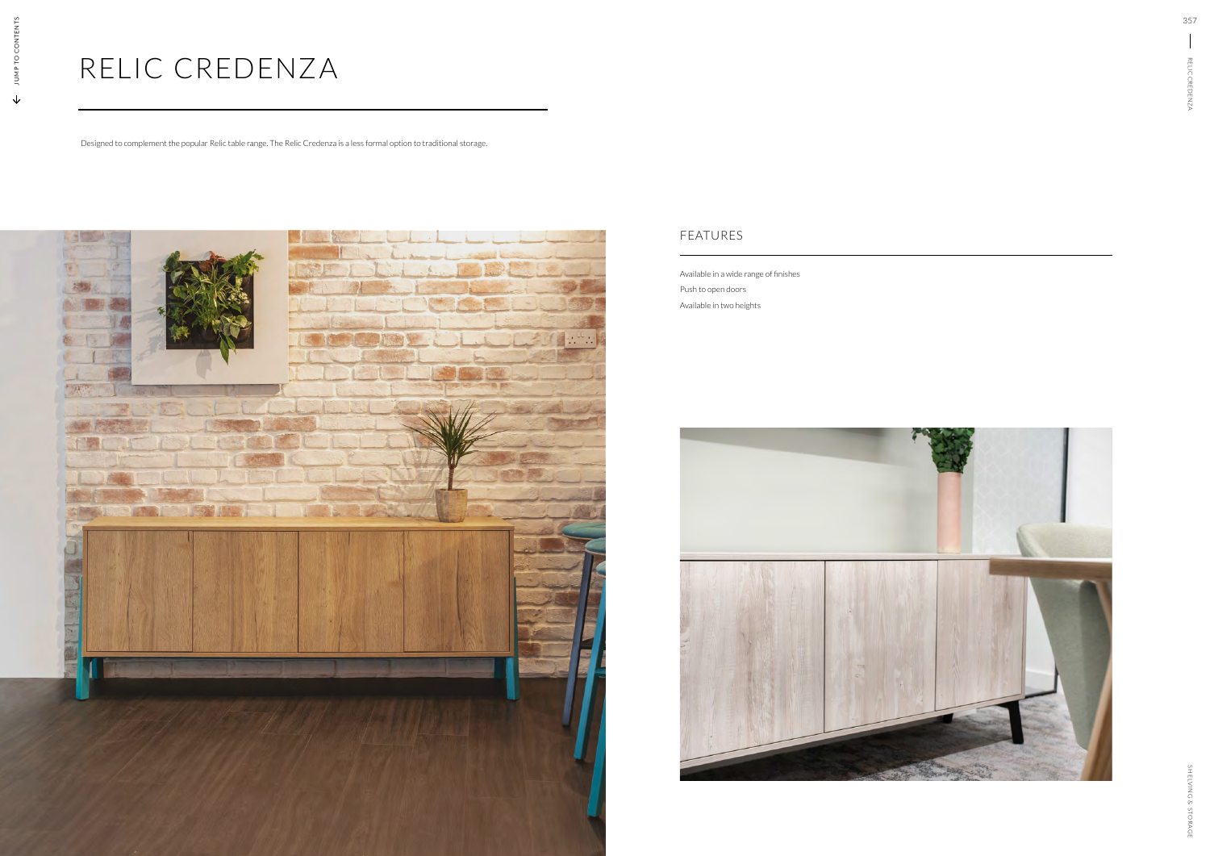## RELIC CREDENZA

Designed to complement the popular Relic table range. The Relic Credenza is a less formal option to traditional storage.



Available in a wide range of finishes Push to open doors Available in two heights



## FEATURES